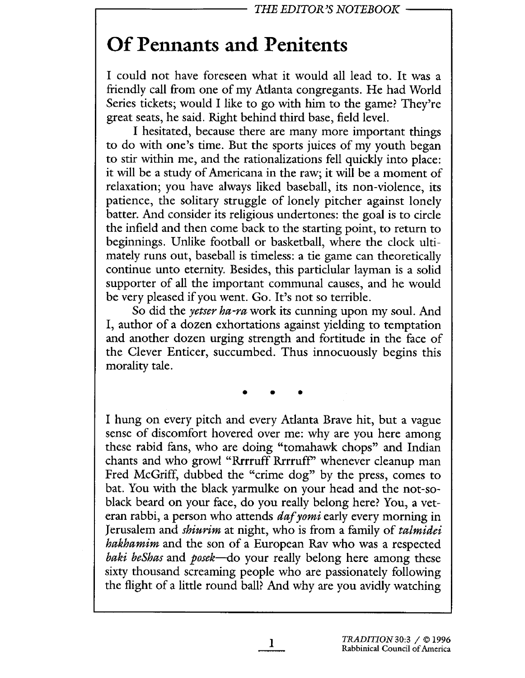## Of Pennants and Penitents

I could not have foreseen what it would all lead to. It was a friendly call from one of my Atlanta congregants. He had World Series tickets; would I like to go with him to the game? They're great seats, he said. Right behind third base, field leveL.

I hesitated, because there are many more important things to do with one's time. But the sports juices of my youth began to stir within me, and the rationalizations fell quickly into place: it will be a study of Americana in the raw; it will be a moment of relaxation; you have always liked baseball, its non-violence, its patience, the solitary struggle of lonely pitcher against lonely batter. And consider its religious undertones: the goal is to circle the infield and then come back to the starting point, to return to beginnings. Unlike football or basketball, where the clock ultimately runs out, baseball is timeless: a tie game can theoretically continue unto eternity. Besides, this particlular layman is a solid supporter of all the important communal causes, and he would be very pleased if you went. Go. It's not so terrible.

So did the *yetser ha-ra* work its cunning upon my soul. And I, author of a dozen exhortations against yielding to temptation and another dozen urging strength and fortitude in the face of the Clever Enticer, succumbed. Thus innocuously begins this morality tale.

. . .

I hung on every pitch and every Atlanta Brave hit, but a vague sense of discomfort hovered over me: why are you here among these rabid fans, who are doing "tomahawk chops" and Indian chants and who growl "Rrrruff Rrrruff" whenever cleanup man Fred McGriff, dubbed the "crime dog" by the press, comes to bat. You with the black yarmulke on your head and the not-soblack beard on your face, do you really belong here? You, a veteran rabbi, a person who attends *daf yomi* early every morning in Jerusalem and *shiurim* at night, who is from a family of *talmidei* hakhamim and the son of a European Rav who was a respected baki beShas and posek-do your really belong here among these sixty thousand screaming people who are passionately following the flght of a little round ball? And why are you avidly watching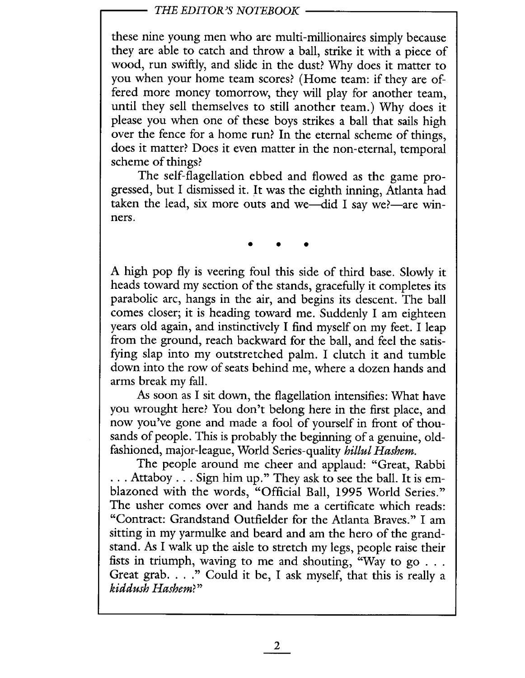## THE EDITOR'S NOTEBOOK

these nine young men who are multi-milionaires simply because they are able to catch and throw a ball, strike it with a piece of wood, run swiftly, and slide in the dust? Why does it matter to you when your home team scores? (Home team: if they are offered more money tomorrow, they will play for another team, until they sell themselves to stil another team.) Why does it please you when one of these boys strikes a ball that sails high over the fence for a home run? In the eternal scheme of things, does it matter? Does it even matter in the non-eternal, temporal scheme of things?

The self-flagellation ebbed and flowed as the game progressed, but I dismissed it. It was the eighth inning, Atlanta had taken the lead, six more outs and we-did I say we?-are winners.

. . .

A high pop fly is veering foul this side of third base. Slowly it heads toward my section of the stands, gracefully it completes its parabolic arc, hangs in the air, and begins its descent. The ball comes closer; it is heading toward me. Suddenly I am eighteen years old again, and instinctively I find myself on my feet. I leap from the ground, reach backward for the ball, and feel the satisfying slap into my outstretched palm. I clutch it and tumble down into the row of seats behind me, where a dozen hands and arms break my falL.

As soon as I sit down, the flagellation intensifies: What have you wrought here? You don't belong here in the first place, and now you've gone and made a fool of yourself in front of thousands of people. This is probably the beginning of a genuine, oldfashioned, major-league, World Series-quality hillul Hashem.

The people around me cheer and applaud: "Great, Rabbi . . . Attaboy . . . Sign him up." They ask to see the balL. It is emblazoned with the words, "Official Ball, 1995 World Series." The usher comes over and hands me a certificate which reads: "Contract: Grandstand Outfielder for the Atlanta Braves." I am sitting in my yarmulke and beard and am the hero of the grandstand. As I walk up the aisle to stretch my legs, people raise their fists in triumph, waving to me and shouting, "Way to go . . . Great grab. . . ." Could it be, I ask myself, that this is really a kiddush Hashem?"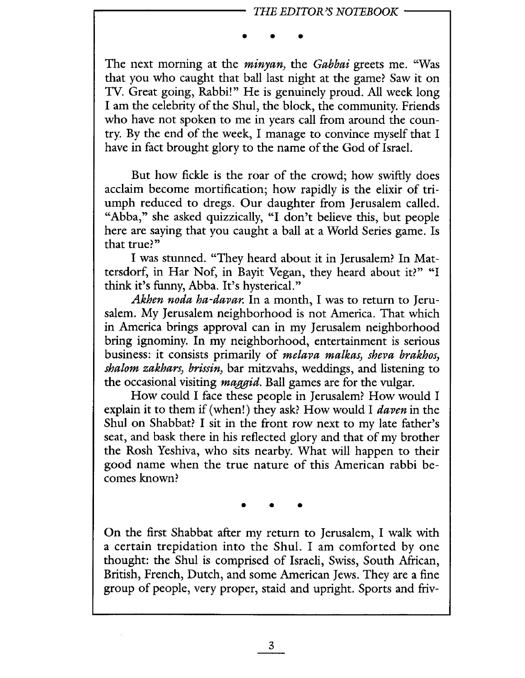. . .

The next morning at the *minyan*, the *Gabbai* greets me. "Was that you who caught that ball last night at the game? Saw it on TV. Great going, Rabbi!" He is genuinely proud. All week long I am the celebrity of the Shul, the block, the community. Friends who have not spoken to me in years call from around the country. By the end of the week, I manage to convince myself that I have in fact brought glory to the name of the God of IsraeL.

But how fickle is the roar of the crowd; how swiftly does acclaim become mortification; how rapidly is the elixir of triumph reduced to dregs. Our daughter from Jerusalem called. "Abba," she asked quizzically, "I don't believe this, but people here are saying that you caught a ball at a World Series game. Is that true?"

I was stuned. "They heard about it in Jerusalem? In Mattersdorf, in Har Nof, in Bayit Vegan, they heard about it?" "I think it's funny, Abba. It's hysterical."

Akhen noda ha-davar. In a month, I was to return to Jerusalem. My Jerusalem neighborhood is not America. That which in America brings approval can in my Jerusalem neighborhood bring ignominy. In my neighborhood, entertainment is serious business: it consists primarily of *melava malkas*, *sheva brakhos*, shalom zakhars, brissin, bar mitzvahs, weddings, and listening to the occasional visiting *maggid*. Ball games are for the vulgar.

How could I face these people in Jerusalem? How would I explain it to them if (when!) they ask? How would I *daven* in the Shul on Shabbat? I sit in the front row next to my late father's seat, and bask there in his reflected glory and that of my brother the Rosh Yeshiva, who sits nearby. What will happen to their good name when the true nature of this American rabbi becomes known?

. . .

On the first Shabbat after my return to Jerusalem, I walk with a certain trepidation into the Shul. I am comforted by one thought: the Shul is comprised of Israeli, Swiss, South Mrican, British, French, Dutch, and some American Jews. They are a fine group of people, very proper, staid and upright. Sports and friv-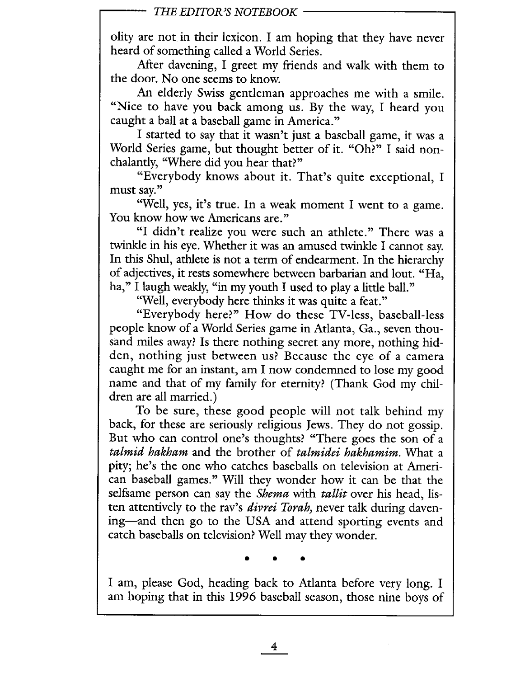olity are not in their lexicon. I am hoping that they have never heard of something called a World Series.

Afer davening, I greet my friends and walk with them to the door. No one seems to know.

An elderly Swiss gentleman approaches me with a smile. "Nice to have you back among us. By the way, I heard you caught a ball at a baseball game in America."

I started to say that it wasn't just a baseball game, it was a World Series game, but thought better of it. "Oh?" I said nonchalantly, "Where did you hear that?"

"Everybody knows about it. That's quite exceptional, I must say."

"Well, yes, it's true. In a weak moment I went to a game. You know how we Americans are."

"I didn't realize you were such an athlete." There was a twinkle in his eye. Whether it was an amused twinkle I cannot say. In this Shul, athlete is not a term of endearment. In the hierarchy of adjectives, it rests somewhere between barbarian and lout. "Ha, ha," I laugh weakly, "in my youth I used to play a little ball."

"Well, everybody here thinks it was quite a feat."

"Everybody here?" How do these TV-less, baseball-less people know of a World Series game in Atlanta, Ga., seven thousand miles away? Is there nothing secret any more, nothing hidden, nothing just between us? Because the eye of a camera caught me for an instant, am I now condemned to lose my good name and that of my family for eternity? (Thank God my children are all married.)

To be sure, these good people will not talk behind my back, for these are seriously religious Jews. They do not gossip. But who can control one's thoughts? "There goes the son of a talmid hakham and the brother of talmidei hakhamim. What a pity; he's the one who catches baseballs on television at American baseball games." Will they wonder how it can be that the selfsame person can say the *Shema* with *tallit* over his head, listen attentively to the rav's *divrei Torah*, never talk during davening-and then go to the USA and attend sporting events and catch baseballs on television? Well may they wonder.

. . .

I am, please God, heading back to Atlanta before very long. I am hoping that in this 1996 baseball season, those nine boys of